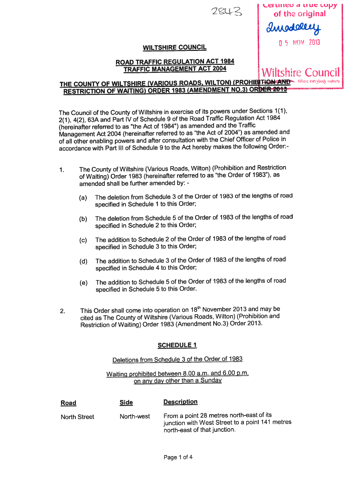### **WILTSHIRE COUNCIL**

### **ROAD TRAFFIC REGULATION ACT 1984 TRAFFIC MANAGEMENT ACT 2004**

# ertified a true copy of the original

### THE COUNTY OF WILTSHIRE (VARIOUS ROADS, WILTON) (PROHIBITION AND - Where everybody matters **RESTRICTION OF WAITING) ORDER 1983 (AMENDMENT NO.3) ORDER 2013**

The Council of the County of Wiltshire in exercise of its powers under Sections 1(1), 2(1), 4(2), 63A and Part IV of Schedule 9 of the Road Traffic Regulation Act 1984 (hereinafter referred to as "the Act of 1984") as amended and the Traffic Management Act 2004 (hereinafter referred to as "the Act of 2004") as amended and of all other enabling powers and after consultation with the Chief Officer of Police in accordance with Part III of Schedule 9 to the Act hereby makes the following Order:-

- The County of Wiltshire (Various Roads, Wilton) (Prohibition and Restriction  $\mathbf{1}$ of Waiting) Order 1983 (hereinafter referred to as "the Order of 1983"), as amended shall be further amended by: -
	- The deletion from Schedule 3 of the Order of 1983 of the lengths of road  $(a)$ specified in Schedule 1 to this Order;
	- The deletion from Schedule 5 of the Order of 1983 of the lengths of road  $(b)$ specified in Schedule 2 to this Order;
	- The addition to Schedule 2 of the Order of 1983 of the lengths of road  $(c)$ specified in Schedule 3 to this Order;
	- The addition to Schedule 3 of the Order of 1983 of the lengths of road  $(d)$ specified in Schedule 4 to this Order;
	- The addition to Schedule 5 of the Order of 1983 of the lengths of road  $(e)$ specified in Schedule 5 to this Order.
- This Order shall come into operation on 18<sup>th</sup> November 2013 and may be  $2.$ cited as The County of Wiltshire (Various Roads, Wilton) (Prohibition and Restriction of Waiting) Order 1983 (Amendment No.3) Order 2013.

# **SCHEDULE 1**

# Deletions from Schedule 3 of the Order of 1983

### Waiting prohibited between 8.00 a.m. and 6.00 p.m. on any day other than a Sunday

| <b>Road</b>         | <b>Side</b> | <b>Description</b>                                                                                                          |
|---------------------|-------------|-----------------------------------------------------------------------------------------------------------------------------|
| <b>North Street</b> | North-west  | From a point 28 metres north-east of its<br>junction with West Street to a point 141 metres<br>north-east of that junction. |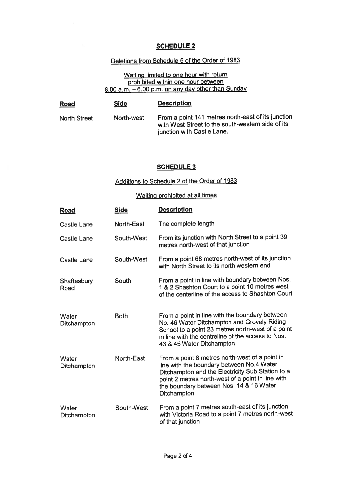# SCHEDULE<sub>2</sub>

# Deletions from Schedule 5 of the Order of 1983

### Waiting limited to one hour with return prohibited within one hour between 8.00 a.m. — 6.00 p.m. on any day other than Sunday

| <u>Road</u>         | <b>Side</b> | <b>Description</b>                                                                                                                    |
|---------------------|-------------|---------------------------------------------------------------------------------------------------------------------------------------|
| <b>North Street</b> | North-west  | From a point 141 metres north-east of its junction<br>with West Street to the south-western side of its<br>junction with Castle Lane. |

### SCHEDULE 3

# Additions to Schedule 2 of the Order of 1983

### Waiting prohibited at all times

| <b>Road</b>          | <b>Side</b> | <b>Description</b>                                                                                                                                                                                                                                             |
|----------------------|-------------|----------------------------------------------------------------------------------------------------------------------------------------------------------------------------------------------------------------------------------------------------------------|
| <b>Castle Lane</b>   | North-East  | The complete length                                                                                                                                                                                                                                            |
| <b>Castle Lane</b>   | South-West  | From its junction with North Street to a point 39<br>metres north-west of that junction                                                                                                                                                                        |
| Castle Lane          | South-West  | From a point 68 metres north-west of its junction<br>with North Street to its north western end                                                                                                                                                                |
| Shaftesbury<br>Road  | South       | From a point in line with boundary between Nos.<br>1 & 2 Shashton Court to a point 10 metres west<br>of the centerline of the access to Shashton Court                                                                                                         |
| Water<br>Ditchampton | <b>Both</b> | From a point in line with the boundary between<br>No. 46 Water Ditchampton and Grovely Riding<br>School to a point 23 metres north-west of a point<br>in line with the centreline of the access to Nos.<br>43 & 45 Water Ditchampton                           |
| Water<br>Ditchampton | North-East  | From a point 8 metres north-west of a point in<br>line with the boundary between No.4 Water<br>Ditchampton and the Electricity Sub Station to a<br>point 2 metres north-west of a point in line with<br>the boundary between Nos. 14 & 16 Water<br>Ditchampton |
| Water<br>Ditchampton | South-West  | From a point 7 metres south-east of its junction<br>with Victoria Road to a point 7 metres north-west<br>of that junction                                                                                                                                      |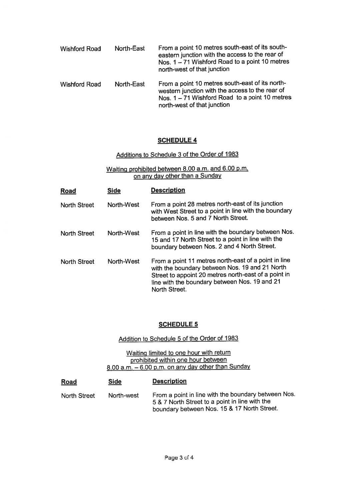| <b>Wishford Road</b> | North-East | From a point 10 metres south-east of its south-<br>eastern junction with the access to the rear of<br>Nos. 1 - 71 Wishford Road to a point 10 metres<br>north-west of that junction |
|----------------------|------------|-------------------------------------------------------------------------------------------------------------------------------------------------------------------------------------|
| <b>Wishford Road</b> | North-East | From a point 10 metres south-east of its north-<br>western junction with the access to the rear of<br>Nos. 1 - 71 Wishford Road to a point 10 metres<br>north-west of that junction |

# SCHEDULE 4

# Additions to Schedule 3 of the Order of 1983

### Waiting prohibited between 8.00 a.m. and 6.00 p.m. on any day other than <sup>a</sup> Sunday

| <b>Road</b>         | <b>Side</b> | <b>Description</b>                                                                                                                                                                                                               |
|---------------------|-------------|----------------------------------------------------------------------------------------------------------------------------------------------------------------------------------------------------------------------------------|
| <b>North Street</b> | North-West  | From a point 28 metres north-east of its junction<br>with West Street to a point in line with the boundary<br>between Nos. 5 and 7 North Street.                                                                                 |
| <b>North Street</b> | North-West  | From a point in line with the boundary between Nos.<br>15 and 17 North Street to a point in line with the<br>boundary between Nos. 2 and 4 North Street.                                                                         |
| <b>North Street</b> | North-West  | From a point 11 metres north-east of a point in line<br>with the boundary between Nos. 19 and 21 North<br>Street to appoint 20 metres north-east of a point in<br>line with the boundary between Nos. 19 and 21<br>North Street. |

# SCHEDULE 5

Addition to Schedule 5 of the Order of 1983

### Waiting limited to one hour with return prohibited within one hour between 8.00 a.m. — 6.00 p.m. on any day other than Sunday

| <b>Road</b>  | <b>Side</b> | <b>Description</b>                                                                                                                                   |
|--------------|-------------|------------------------------------------------------------------------------------------------------------------------------------------------------|
| North Street | North-west  | From a point in line with the boundary between Nos.<br>5 & 7 North Street to a point in line with the<br>boundary between Nos. 15 & 17 North Street. |